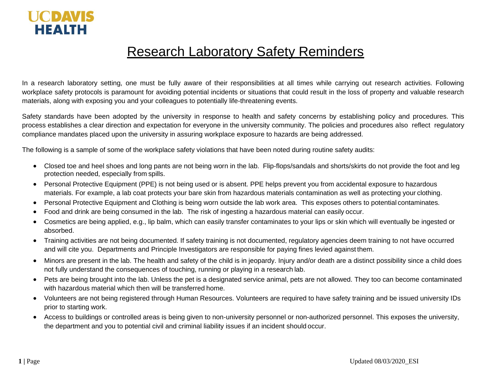

## Research Laboratory Safety Reminders

In a research laboratory setting, one must be fully aware of their responsibilities at all times while carrying out research activities. Following workplace safety protocols is paramount for avoiding potential incidents or situations that could result in the loss of property and valuable research materials, along with exposing you and your colleagues to potentially life-threatening events.

Safety standards have been adopted by the university in response to health and safety concerns by establishing policy and procedures. This process establishes a clear direction and expectation for everyone in the university community. The policies and procedures also reflect regulatory compliance mandates placed upon the university in assuring workplace exposure to hazards are being addressed.

The following is a sample of some of the workplace safety violations that have been noted during routine safety audits:

- Closed toe and heel shoes and long pants are not being worn in the lab. Flip-flops/sandals and shorts/skirts do not provide the foot and leg protection needed, especially from spills.
- Personal Protective Equipment (PPE) is not being used or is absent. PPE helps prevent you from accidental exposure to hazardous materials. For example, a lab coat protects your bare skin from hazardous materials contamination as well as protecting your clothing.
- Personal Protective Equipment and Clothing is being worn outside the lab work area. This exposes others to potential contaminates.
- Food and drink are being consumed in the lab. The risk of ingesting a hazardous material can easily occur.
- Cosmetics are being applied, e.g., lip balm, which can easily transfer contaminates to your lips or skin which will eventually be ingested or absorbed.
- Training activities are not being documented. If safety training is not documented, regulatory agencies deem training to not have occurred and will cite you. Departments and Principle Investigators are responsible for paying fines levied against them.
- Minors are present in the lab. The health and safety of the child is in jeopardy. Injury and/or death are a distinct possibility since a child does not fully understand the consequences of touching, running or playing in a research lab.
- Pets are being brought into the lab. Unless the pet is a designated service animal, pets are not allowed. They too can become contaminated with hazardous material which then will be transferred home.
- Volunteers are not being registered through Human Resources. Volunteers are required to have safety training and be issued university IDs prior to starting work.
- Access to buildings or controlled areas is being given to non-university personnel or non-authorized personnel. This exposes the university, the department and you to potential civil and criminal liability issues if an incident should occur.